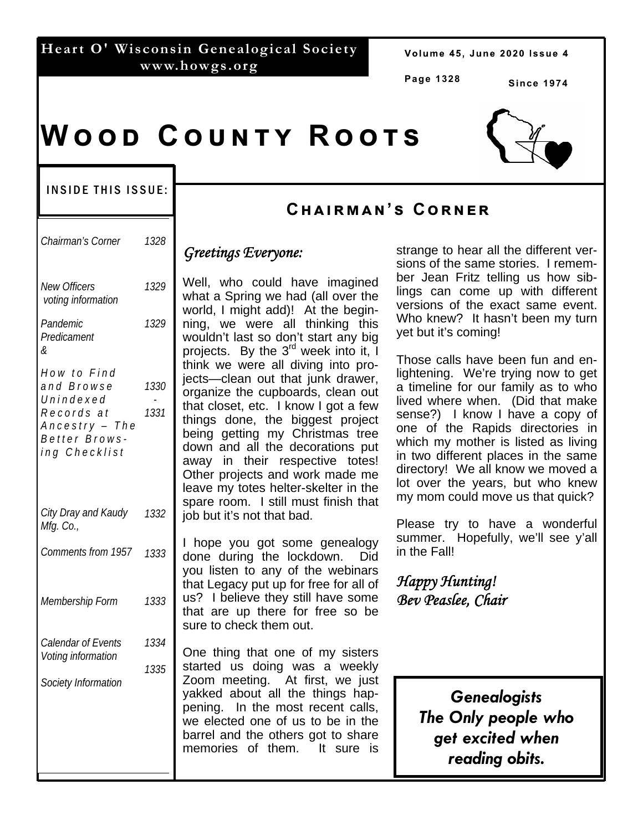### **Heart O' Wisconsin Genealogical Society www.howgs.org**

Volume 45, June 2020 Issue 4

**Page 1328** 

**Since 1974** 

# $W$  O O D  $C$  O U N T Y  $R$  O O T S

#### INSIDE THIS ISSUE:

| Chairman's Corner                                                                                        | 1328         | $\mathbf$                           |
|----------------------------------------------------------------------------------------------------------|--------------|-------------------------------------|
| <b>New Officers</b><br>voting information                                                                | 1329         |                                     |
| Pandemic<br>Predicament<br>&                                                                             | 1329         | n<br>V<br>р                         |
| How to Find<br>and Browse<br>Unindexed<br>Records at<br>Ancestry - The<br>Better Brows-<br>ing Checklist | 1330<br>1331 | tl<br>j¢<br>o<br>tl<br>tl<br>b<br>d |
| City Dray and Kaudy<br>Mfg. Co.,                                                                         | 1332         | a<br>$\overline{C}$<br>k<br>S<br>j¢ |
| Comments from 1957                                                                                       | 1333         | I<br>d<br>y                         |
| Membership Form                                                                                          | 1333         | tl<br>Ū<br>tl<br>S                  |
| Calendar of Events<br>Voting information                                                                 | 1334         | C                                   |
| Society Information                                                                                      | 1335         | Z<br>y<br>р<br>v<br>b<br>n          |
|                                                                                                          |              |                                     |

### **Cඐඉඑකඕඉඖ'ඛ Cකඖඍක**

#### *Greetings Everyone:*

Well, who could have imagined what a Spring we had (all over the world, I might add)! At the beginning, we were all thinking this wouldn't last so don't start any big projects. By the  $3<sup>rd</sup>$  week into it, I hink we were all diving into proects—clean out that junk drawer, organize the cupboards, clean out hat closet, etc. I know I got a few hings done, the biggest project being getting my Christmas tree lown and all the decorations put away in their respective totes! Other projects and work made me eave my totes helter-skelter in the spare room. I still must finish that ob but it's not that bad.

hope you got some genealogy done during the lockdown. Did you listen to any of the webinars hat Legacy put up for free for all of us? I believe they still have some hat are up there for free so be sure to check them out.

One thing that one of my sisters started us doing was a weekly Zoom meeting. At first, we just akked about all the things happening. In the most recent calls, we elected one of us to be in the barrel and the others got to share memories of them. It sure is

strange to hear all the different versions of the same stories. I remember Jean Fritz telling us how siblings can come up with different versions of the exact same event. Who knew? It hasn't been my turn yet but it's coming!

Those calls have been fun and enlightening. We're trying now to get a timeline for our family as to who lived where when. (Did that make sense?) I know I have a copy of one of the Rapids directories in which my mother is listed as living in two different places in the same directory! We all know we moved a lot over the years, but who knew my mom could move us that quick?

Please try to have a wonderful summer. Hopefully, we'll see y'all in the Fall!

*Happy Hunting! Bev Peaslee, Chair* 

> *Genealogists The Only people who get excited when reading obits.*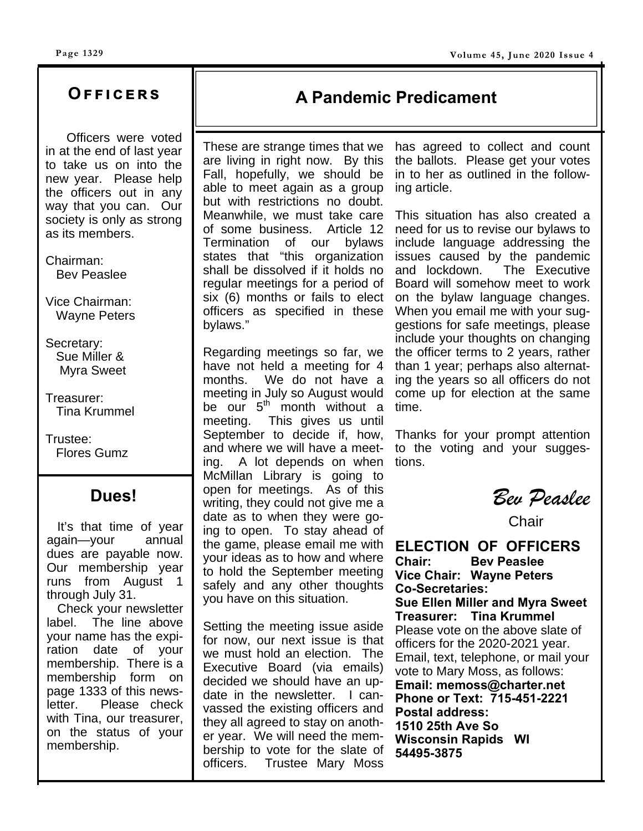### **Oඎඎඑඋඍකඛ**

 Officers were voted in at the end of last year to take us on into the new year. Please help the officers out in any way that you can. Our society is only as strong as its members.

Chairman: Bev Peaslee

Vice Chairman: Wayne Peters

Secretary: Sue Miller & Myra Sweet

Treasurer: Tina Krummel

Trustee: Flores Gumz

### **Dues!**

 It's that time of year again—your annual dues are payable now. Our membership year runs from August 1 through July 31.

 Check your newsletter label. The line above your name has the expiration date of your membership. There is a membership form on page 1333 of this newsletter. Please check with Tina, our treasurer, on the status of your membership.

### **A Pandemic Predicament**

These are strange times that we are living in right now. By this Fall, hopefully, we should be able to meet again as a group but with restrictions no doubt. Meanwhile, we must take care of some business. Article 12 Termination of our bylaws states that "this organization shall be dissolved if it holds no regular meetings for a period of six (6) months or fails to elect officers as specified in these bylaws."

Regarding meetings so far, we have not held a meeting for 4 months. We do not have a meeting in July so August would be our  $5<sup>th</sup>$  month without a meeting. This gives us until September to decide if, how, and where we will have a meeting. A lot depends on when McMillan Library is going to open for meetings. As of this writing, they could not give me a date as to when they were going to open. To stay ahead of the game, please email me with your ideas as to how and where to hold the September meeting safely and any other thoughts you have on this situation.

Setting the meeting issue aside for now, our next issue is that we must hold an election. The Executive Board (via emails) decided we should have an update in the newsletter. I canvassed the existing officers and they all agreed to stay on another year. We will need the membership to vote for the slate of officers. Trustee Mary Moss

has agreed to collect and count the ballots. Please get your votes in to her as outlined in the following article.

This situation has also created a need for us to revise our bylaws to include language addressing the issues caused by the pandemic and lockdown. The Executive Board will somehow meet to work on the bylaw language changes. When you email me with your suggestions for safe meetings, please include your thoughts on changing the officer terms to 2 years, rather than 1 year; perhaps also alternating the years so all officers do not come up for election at the same time.

Thanks for your prompt attention to the voting and your suggestions.

*Bev Peaslee* 

**Chair** 

**ELECTION OF OFFICERS Chair: Bev Peaslee Vice Chair: Wayne Peters Co-Secretaries:** 

**Sue Ellen Miller and Myra Sweet Treasurer: Tina Krummel**  Please vote on the above slate of officers for the 2020-2021 year. Email, text, telephone, or mail your vote to Mary Moss, as follows: **Email: memoss@charter.net Phone or Text: 715-451-2221 Postal address: 1510 25th Ave So Wisconsin Rapids WI 54495-3875**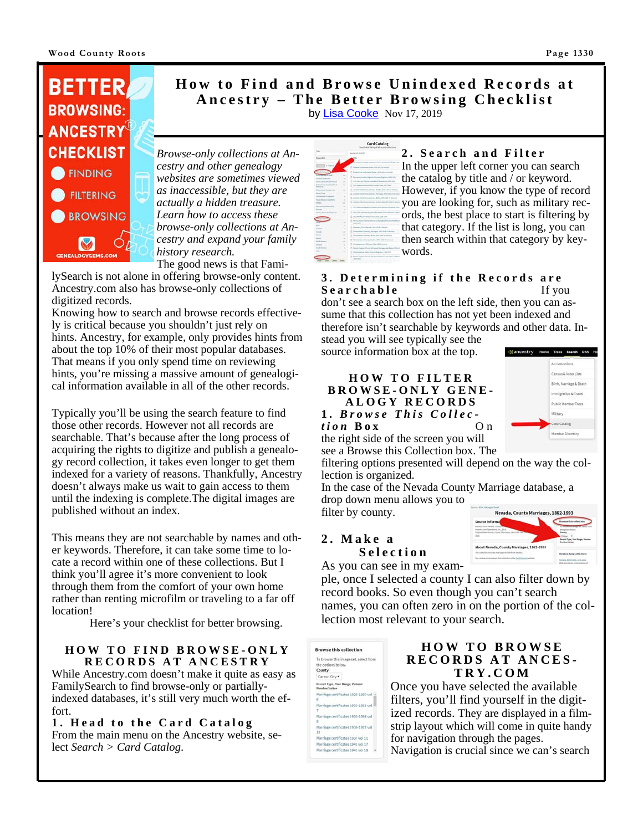

#### **How to Find and Browse Unindexed Records at Ancestry – The Better Browsing Checklist**  by Lisa Cooke Nov 17, 2019

*Browse-only collections at Ancestry and other genealogy websites are sometimes viewed as inaccessible, but they are actually a hidden treasure. Learn how to access these browse-only collections at Ancestry and expand your family history research.* The good news is that Fami-

lySearch is not alone in offering browse-only content. Ancestry.com also has browse-only collections of digitized records.

Knowing how to search and browse records effectively is critical because you shouldn't just rely on hints. Ancestry, for example, only provides hints from about the top 10% of their most popular databases. That means if you only spend time on reviewing hints, you're missing a massive amount of genealogical information available in all of the other records.

Typically you'll be using the search feature to find those other records. However not all records are searchable. That's because after the long process of acquiring the rights to digitize and publish a genealogy record collection, it takes even longer to get them indexed for a variety of reasons. Thankfully, Ancestry doesn't always make us wait to gain access to them until the indexing is complete.The digital images are published without an index.

This means they are not searchable by names and other keywords. Therefore, it can take some time to locate a record within one of these collections. But I think you'll agree it's more convenient to look through them from the comfort of your own home rather than renting microfilm or traveling to a far off location!

Here's your checklist for better browsing.

#### **HOW TO FIND BROWSE-ONLY RECORDS AT ANCESTRY**

While Ancestry.com doesn't make it quite as easy as FamilySearch to find browse-only or partiallyindexed databases, it's still very much worth the effort.

**1. Head to the Card Catalog**  From the main menu on the Ancestry website, select *Search > Card Catalog*.



#### **2. Search and Filter**

In the upper left corner you can search the catalog by title and / or keyword. However, if you know the type of record you are looking for, such as military records, the best place to start is filtering by that category. If the list is long, you can then search within that category by keywords.

#### **3. Determining if the Records are Searchable** If you

don't see a search box on the left side, then you can assume that this collection has not yet been indexed and therefore isn't searchable by keywords and other data. Instead you will see typically see the

source information box at the top.

#### **HOW TO FILTER BROWSE-ONLY GENE-ALOGY RECORDS**



amcestry Home Trees Search DNA He

*tion* **Box** O n the right side of the screen you will see a Browse this Collection box. The

**1.** *Browse This Collec-*

filtering options presented will depend on the way the collection is organized.

In the case of the Nevada County Marriage database, a drop down menu allows you to filter by county.

#### **2. Make a Selection**



As you can see in my exam-

ple, once I selected a county I can also filter down by record books. So even though you can't search names, you can often zero in on the portion of the collection most relevant to your search.



#### **HOW TO BROWSE RECORDS AT ANCES-TRY.COM**

Once you have selected the available filters, you'll find yourself in the digitized records. They are displayed in a filmstrip layout which will come in quite handy for navigation through the pages. Navigation is crucial since we can's search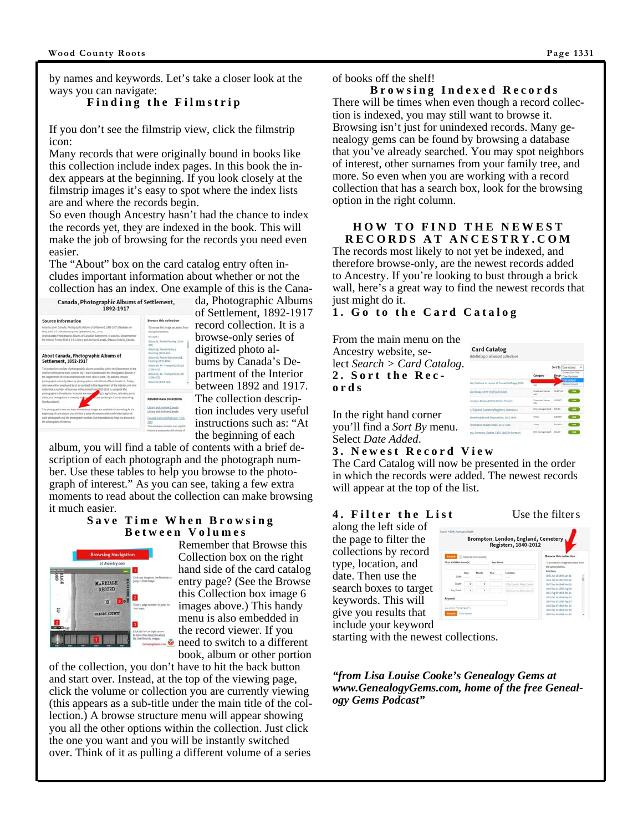by names and keywords. Let's take a closer look at the ways you can navigate:

#### **Finding the Filmstrip**

If you don't see the filmstrip view, click the filmstrip icon:

Many records that were originally bound in books like this collection include index pages. In this book the index appears at the beginning. If you look closely at the filmstrip images it's easy to spot where the index lists are and where the records begin.

So even though Ancestry hasn't had the chance to index the records yet, they are indexed in the book. This will make the job of browsing for the records you need even easier.

The "About" box on the card catalog entry often includes important information about whether or not the collection has an index. One example of this is the Cana-<br>canada, Photographic Albums of Settlement,<br> $\frac{da}{1892.1917}$ 



da, Photographic Albums of Settlement, 1892-1917 record collection. It is a browse-only series of digitized photo albums by Canada's Department of the Interior between 1892 and 1917. The collection description includes very useful instructions such as: "At the beginning of each

album, you will find a table of contents with a brief description of each photograph and the photograph number. Use these tables to help you browse to the photograph of interest." As you can see, taking a few extra moments to read about the collection can make browsing it much easier.

#### **Save Time When Browsing Between Volumes**



Remember that Browse this Collection box on the right hand side of the card catalog entry page? (See the Browse this Collection box image 6 images above.) This handy menu is also embedded in the record viewer. If you need to switch to a different book, album or other portion

of the collection, you don't have to hit the back button and start over. Instead, at the top of the viewing page, click the volume or collection you are currently viewing (this appears as a sub-title under the main title of the collection.) A browse structure menu will appear showing you all the other options within the collection. Just click the one you want and you will be instantly switched over. Think of it as pulling a different volume of a series

 **Browsing Indexed Records**  There will be times when even though a record collection is indexed, you may still want to browse it. Browsing isn't just for unindexed records. Many genealogy gems can be found by browsing a database that you've already searched. You may spot neighbors of interest, other surnames from your family tree, and more. So even when you are working with a record collection that has a search box, look for the browsing option in the right column.

#### **HOW TO FIND THE NEWEST RECORDS AT ANCESTRY.COM**

The records most likely to not yet be indexed, and therefore browse-only, are the newest records added to Ancestry. If you're looking to bust through a brick wall, here's a great way to find the newest records that just might do it.

#### **1. Go to the Card Catalog**

From the main menu on the Ancestry website, select *Search > Card Catalog*. **2. Sort the Records** 



In the right hand corner you'll find a *Sort By* menu. Select *Date Added*.

#### **3. Newest Record View**

The Card Catalog will now be presented in the order in which the records were added. The newest records will appear at the top of the list.

#### **4. Filter the List** Use the filters

along the left side of the page to filter the collections by record type, location, and date. Then use the search boxes to target keywords. This will give you results that include your keyword

|                        |    | <b>MachuChema machy</b> |             |                                                            | Browse this collection                              |
|------------------------|----|-------------------------|-------------|------------------------------------------------------------|-----------------------------------------------------|
| First & Middle Name(d) |    | Last Marie              |             | To browse this image set, select from<br>the system below. |                                                     |
| Euro                   | bы | <b>Nunth</b><br>--      | <b>Saar</b> | Lacation                                                   | <b>Sans Bango</b><br>1840 Jun 19-1840 Jan 30        |
| Death                  |    | ٠                       |             | Ohn County, Sloke Co.                                      | 1845 Jan 30 1847 New OK<br>1847 Nev 84-1849 New 21. |
| Any Event              | ٠  | ٠                       |             | City, County, State, East                                  | 1849 Nov 01-1851 Aug 08<br>1851 Aug 10-1851 Nav 11. |
| Keyword                |    |                         |             |                                                            | 1953 Mar 13-1854 May 01<br>1854 May 01: 0854 Sep 27 |

starting with the newest collections.

*"from Lisa Louise Cooke's Genealogy Gems at www.GenealogyGems.com, home of the free Genealogy Gems Podcast"*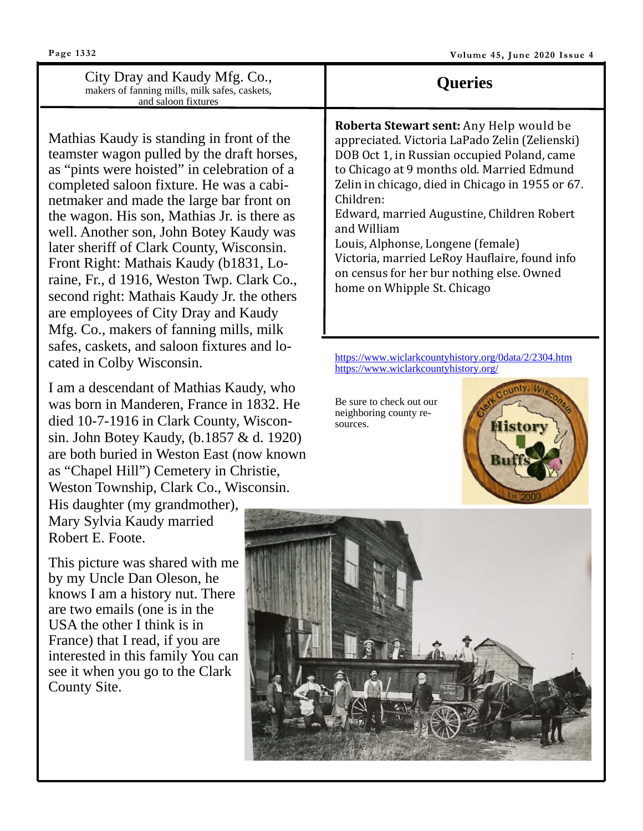City Dray and Kaudy Mfg. Co., makers of fanning mills, milk safes, caskets, and saloon fixtures

Mathias Kaudy is standing in front of the teamster wagon pulled by the draft horses, as "pints were hoisted" in celebration of a completed saloon fixture. He was a cabinetmaker and made the large bar front on the wagon. His son, Mathias Jr. is there as well. Another son, John Botey Kaudy was later sheriff of Clark County, Wisconsin. Front Right: Mathais Kaudy (b1831, Loraine, Fr., d 1916, Weston Twp. Clark Co., second right: Mathais Kaudy Jr. the others are employees of City Dray and Kaudy Mfg. Co., makers of fanning mills, milk safes, caskets, and saloon fixtures and located in Colby Wisconsin.

I am a descendant of Mathias Kaudy, who was born in Manderen, France in 1832. He died 10-7-1916 in Clark County, Wisconsin. John Botey Kaudy, (b.1857 & d. 1920) are both buried in Weston East (now known as "Chapel Hill") Cemetery in Christie, Weston Township, Clark Co., Wisconsin.

His daughter (my grandmother), Mary Sylvia Kaudy married Robert E. Foote.

This picture was shared with me by my Uncle Dan Oleson, he knows I am a history nut. There are two emails (one is in the USA the other I think is in France) that I read, if you are interested in this family You can see it when you go to the Clark County Site.

### **Queries**

**Roberta Stewart sent:** Any Help would be appreciated. Victoria LaPado Zelin (Zelienski) DOB Oct 1, in Russian occupied Poland, came to Chicago at 9 months old. Married Edmund Zelin in chicago, died in Chicago in 1955 or 67. Children:

Edward, married Augustine, Children Robert and William

Louis, Alphonse, Longene (female) Victoria, married LeRoy Hauflaire, found info on census for her bur nothing else. Owned home on Whipple St. Chicago

https://www.wiclarkcountyhistory.org/0data/2/2304.htm https://www.wiclarkcountyhistory.org/

Be sure to check out our neighboring county resources.



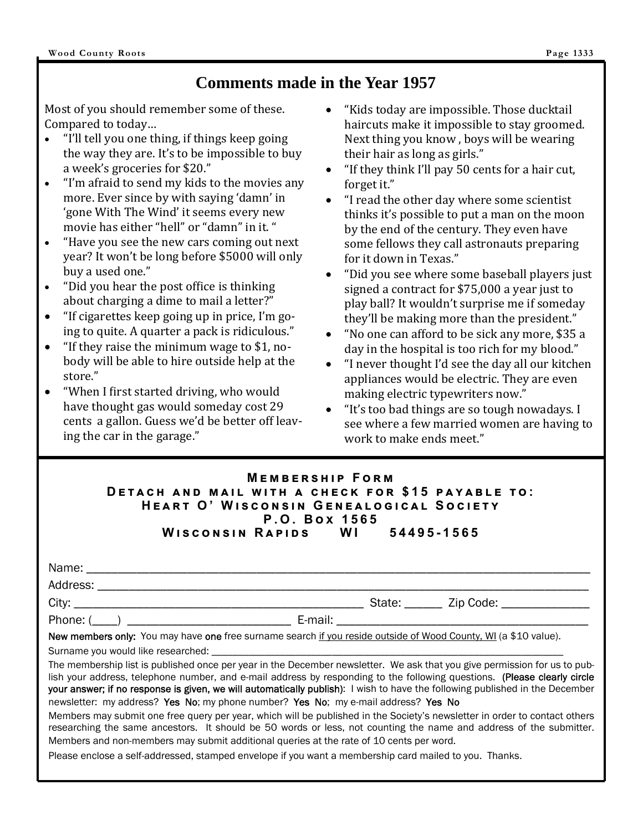### **Comments made in the Year 1957**

Most of you should remember some of these. Compared to today…

- "I'll tell you one thing, if things keep going the way they are. It's to be impossible to buy a week's groceries for \$20."
- "I'm afraid to send my kids to the movies any more. Ever since by with saying 'damn' in 'gone With The Wind' it seems every new movie has either "hell" or "damn" in it. "
- "Have you see the new cars coming out next year? It won't be long before \$5000 will only buy a used one."
- "Did you hear the post office is thinking about charging a dime to mail a letter?"
- "If cigarettes keep going up in price, I'm going to quite. A quarter a pack is ridiculous."
- "If they raise the minimum wage to \$1, nobody will be able to hire outside help at the store."
- "When I first started driving, who would have thought gas would someday cost 29 cents a gallon. Guess we'd be better off leaving the car in the garage."
- "Kids today are impossible. Those ducktail haircuts make it impossible to stay groomed. Next thing you know , boys will be wearing their hair as long as girls."
- "If they think I'll pay 50 cents for a hair cut, forget it."
- "I read the other day where some scientist thinks it's possible to put a man on the moon by the end of the century. They even have some fellows they call astronauts preparing for it down in Texas."
- "Did you see where some baseball players just signed a contract for \$75,000 a year just to play ball? It wouldn't surprise me if someday they'll be making more than the president."
- "No one can afford to be sick any more, \$35 a day in the hospital is too rich for my blood."
- "I never thought I'd see the day all our kitchen appliances would be electric. They are even making electric typewriters now."
- "It's too bad things are so tough nowadays. I see where a few married women are having to work to make ends meet."

|                                                   | <b>MEMBERSHIP FORM</b> |  |  |
|---------------------------------------------------|------------------------|--|--|
| DETACH AND MAIL WITH A CHECK FOR \$15 PAYABLE TO: |                        |  |  |
| HEART O' WISCONSIN GENEALOGICAL SOCIETY           |                        |  |  |
|                                                   | P.O. Box 1565          |  |  |
| WISCONSIN RAPIDS WI 54495-1565                    |                        |  |  |

|                                                                                                                                                                                                                                                                                                                                                                                                                                                                             | State: _______ Zip Code: ______________ |
|-----------------------------------------------------------------------------------------------------------------------------------------------------------------------------------------------------------------------------------------------------------------------------------------------------------------------------------------------------------------------------------------------------------------------------------------------------------------------------|-----------------------------------------|
|                                                                                                                                                                                                                                                                                                                                                                                                                                                                             |                                         |
| New members only: You may have one free surname search if you reside outside of Wood County, WI (a \$10 value).                                                                                                                                                                                                                                                                                                                                                             |                                         |
|                                                                                                                                                                                                                                                                                                                                                                                                                                                                             |                                         |
| The membership list is published once per year in the December newsletter. We ask that you give permission for us to pub-<br>lish your address, telephone number, and e-mail address by responding to the following questions. (Please clearly circle<br>your answer; if no response is given, we will automatically publish): I wish to have the following published in the December<br>newsletter: my address? Yes No; my phone number? Yes No; my e-mail address? Yes No |                                         |

Members may submit one free query per year, which will be published in the Society's newsletter in order to contact others researching the same ancestors. It should be 50 words or less, not counting the name and address of the submitter. Members and non-members may submit additional queries at the rate of 10 cents per word.

Please enclose a self-addressed, stamped envelope if you want a membership card mailed to you. Thanks.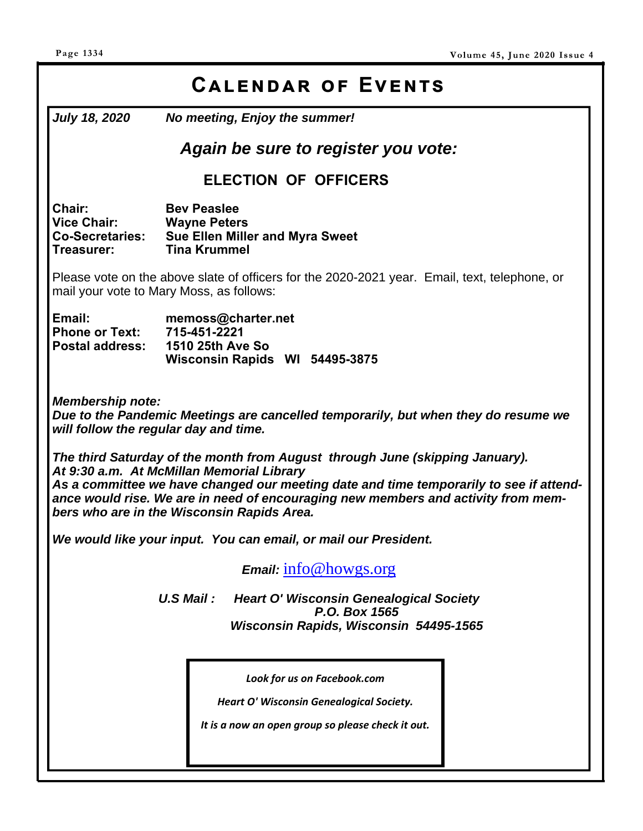## CALENDAR OF EVENTS

*July 18, 2020 No meeting, Enjoy the summer!* 

### *Again be sure to register you vote:*

### **ELECTION OF OFFICERS**

**Chair: Bev Peaslee Vice Chair: Wayne Peters Co-Secretaries: Sue Ellen Miller and Myra Sweet Treasurer: Tina Krummel** 

Please vote on the above slate of officers for the 2020-2021 year. Email, text, telephone, or mail your vote to Mary Moss, as follows:

| Email:                 | memoss@charter.net             |  |  |
|------------------------|--------------------------------|--|--|
| <b>Phone or Text:</b>  | 715-451-2221                   |  |  |
| <b>Postal address:</b> | <b>1510 25th Ave So</b>        |  |  |
|                        | Wisconsin Rapids WI 54495-3875 |  |  |

*Membership note:* 

*Due to the Pandemic Meetings are cancelled temporarily, but when they do resume we will follow the regular day and time.* 

*The third Saturday of the month from August through June (skipping January). At 9:30 a.m. At McMillan Memorial Library As a committee we have changed our meeting date and time temporarily to see if attendance would rise. We are in need of encouraging new members and activity from members who are in the Wisconsin Rapids Area.* 

*We would like your input. You can email, or mail our President.* 

*Email:* info@howgs.org

*U.S Mail : Heart O' Wisconsin Genealogical Society P.O. Box 1565 Wisconsin Rapids, Wisconsin 54495-1565*

*Look for us on Facebook.com* 

*Heart O' Wisconsin Genealogical Society.* 

*It is a now an open group so please check it out.*